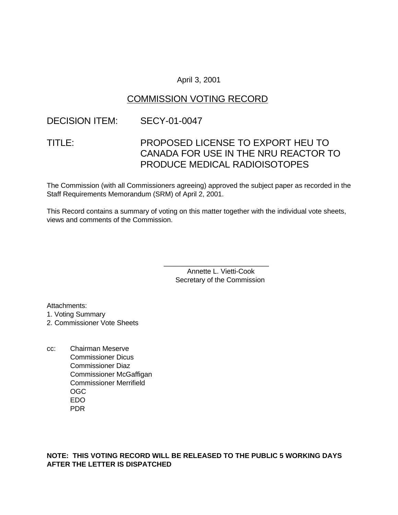# April 3, 2001

# COMMISSION VOTING RECORD

# DECISION ITEM: SECY-01-0047

# TITLE: PROPOSED LICENSE TO EXPORT HEU TO CANADA FOR USE IN THE NRU REACTOR TO PRODUCE MEDICAL RADIOISOTOPES

The Commission (with all Commissioners agreeing) approved the subject paper as recorded in the Staff Requirements Memorandum (SRM) of April 2, 2001.

This Record contains a summary of voting on this matter together with the individual vote sheets, views and comments of the Commission.

> Annette L. Vietti-Cook Secretary of the Commission

\_\_\_\_\_\_\_\_\_\_\_\_\_\_\_\_\_\_\_\_\_\_\_\_\_\_\_

Attachments: 1. Voting Summary

2. Commissioner Vote Sheets

cc: Chairman Meserve Commissioner Dicus Commissioner Diaz Commissioner McGaffigan Commissioner Merrifield OGC EDO PDR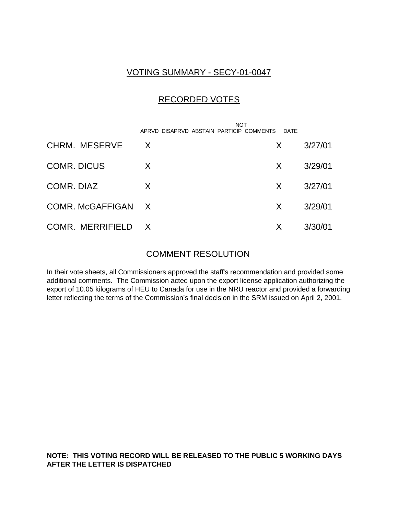# VOTING SUMMARY - SECY-01-0047

# RECORDED VOTES

|                    | <b>NOT</b><br>APRVD DISAPRVD ABSTAIN PARTICIP COMMENTS | DATE |         |
|--------------------|--------------------------------------------------------|------|---------|
| CHRM. MESERVE      | X                                                      | X    | 3/27/01 |
| <b>COMR. DICUS</b> | X                                                      | X    | 3/29/01 |
| COMR. DIAZ         | X                                                      | X    | 3/27/01 |
| COMR. McGAFFIGAN X |                                                        | X    | 3/29/01 |
| COMR. MERRIFIELD X |                                                        | X    | 3/30/01 |

# COMMENT RESOLUTION

In their vote sheets, all Commissioners approved the staff's recommendation and provided some additional comments. The Commission acted upon the export license application authorizing the export of 10.05 kilograms of HEU to Canada for use in the NRU reactor and provided a forwarding letter reflecting the terms of the Commission's final decision in the SRM issued on April 2, 2001.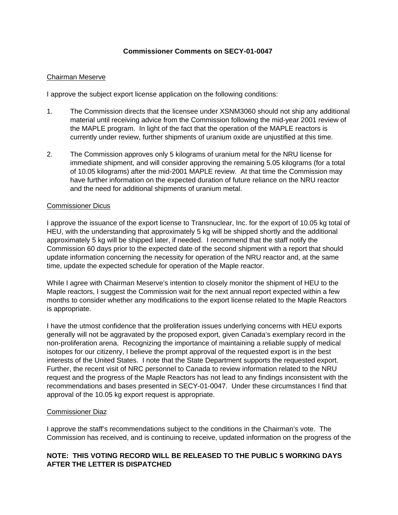#### **Commissioner Comments on SECY-01-0047**

#### Chairman Meserve

I approve the subject export license application on the following conditions:

- 1. The Commission directs that the licensee under XSNM3060 should not ship any additional material until receiving advice from the Commission following the mid-year 2001 review of the MAPLE program. In light of the fact that the operation of the MAPLE reactors is currently under review, further shipments of uranium oxide are unjustified at this time.
- 2. The Commission approves only 5 kilograms of uranium metal for the NRU license for immediate shipment, and will consider approving the remaining 5.05 kilograms (for a total of 10.05 kilograms) after the mid-2001 MAPLE review. At that time the Commission may have further information on the expected duration of future reliance on the NRU reactor and the need for additional shipments of uranium metal.

#### Commissioner Dicus

I approve the issuance of the export license to Transnuclear, Inc. for the export of 10.05 kg total of HEU, with the understanding that approximately 5 kg will be shipped shortly and the additional approximately 5 kg will be shipped later, if needed. I recommend that the staff notify the Commission 60 days prior to the expected date of the second shipment with a report that should update information concerning the necessity for operation of the NRU reactor and, at the same time, update the expected schedule for operation of the Maple reactor.

While I agree with Chairman Meserve's intention to closely monitor the shipment of HEU to the Maple reactors, I suggest the Commission wait for the next annual report expected within a few months to consider whether any modifications to the export license related to the Maple Reactors is appropriate.

I have the utmost confidence that the proliferation issues underlying concerns with HEU exports generally will not be aggravated by the proposed export, given Canada's exemplary record in the non-proliferation arena. Recognizing the importance of maintaining a reliable supply of medical isotopes for our citizenry, I believe the prompt approval of the requested export is in the best interests of the United States. I note that the State Department supports the requested export. Further, the recent visit of NRC personnel to Canada to review information related to the NRU request and the progress of the Maple Reactors has not lead to any findings inconsistent with the recommendations and bases presented in SECY-01-0047. Under these circumstances I find that approval of the 10.05 kg export request is appropriate.

#### Commissioner Diaz

I approve the staff's recommendations subject to the conditions in the Chairman's vote. The Commission has received, and is continuing to receive, updated information on the progress of the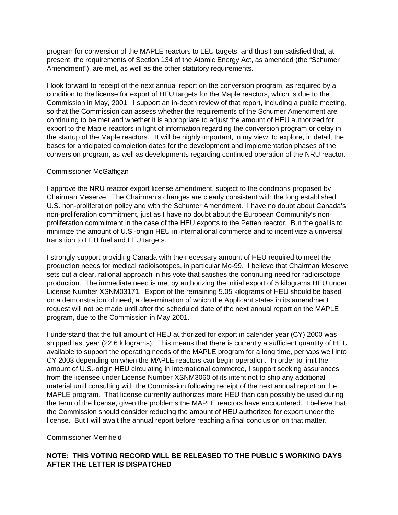program for conversion of the MAPLE reactors to LEU targets, and thus I am satisfied that, at present, the requirements of Section 134 of the Atomic Energy Act, as amended (the "Schumer Amendment"), are met, as well as the other statutory requirements.

I look forward to receipt of the next annual report on the conversion program, as required by a condition to the license for export of HEU targets for the Maple reactors, which is due to the Commission in May, 2001. I support an in-depth review of that report, including a public meeting, so that the Commission can assess whether the requirements of the Schumer Amendment are continuing to be met and whether it is appropriate to adjust the amount of HEU authorized for export to the Maple reactors in light of information regarding the conversion program or delay in the startup of the Maple reactors. It will be highly important, in my view, to explore, in detail, the bases for anticipated completion dates for the development and implementation phases of the conversion program, as well as developments regarding continued operation of the NRU reactor.

#### Commissioner McGaffigan

I approve the NRU reactor export license amendment, subject to the conditions proposed by Chairman Meserve. The Chairman's changes are clearly consistent with the long established U.S. non-proliferation policy and with the Schumer Amendment. I have no doubt about Canada's non-proliferation commitment, just as I have no doubt about the European Community's nonproliferation commitment in the case of the HEU exports to the Petten reactor. But the goal is to minimize the amount of U.S.-origin HEU in international commerce and to incentivize a universal transition to LEU fuel and LEU targets.

I strongly support providing Canada with the necessary amount of HEU required to meet the production needs for medical radioisotopes, in particular Mo-99. I believe that Chairman Meserve sets out a clear, rational approach in his vote that satisfies the continuing need for radioisotope production. The immediate need is met by authorizing the initial export of 5 kilograms HEU under License Number XSNM03171. Export of the remaining 5.05 kilograms of HEU should be based on a demonstration of need, a determination of which the Applicant states in its amendment request will not be made until after the scheduled date of the next annual report on the MAPLE program, due to the Commission in May 2001.

I understand that the full amount of HEU authorized for export in calender year (CY) 2000 was shipped last year (22.6 kilograms). This means that there is currently a sufficient quantity of HEU available to support the operating needs of the MAPLE program for a long time, perhaps well into CY 2003 depending on when the MAPLE reactors can begin operation. In order to limit the amount of U.S.-origin HEU circulating in international commerce, I support seeking assurances from the licensee under License Number XSNM3060 of its intent not to ship any additional material until consulting with the Commission following receipt of the next annual report on the MAPLE program. That license currently authorizes more HEU than can possibly be used during the term of the license, given the problems the MAPLE reactors have encountered. I believe that the Commission should consider reducing the amount of HEU authorized for export under the license. But I will await the annual report before reaching a final conclusion on that matter.

#### Commissioner Merrifield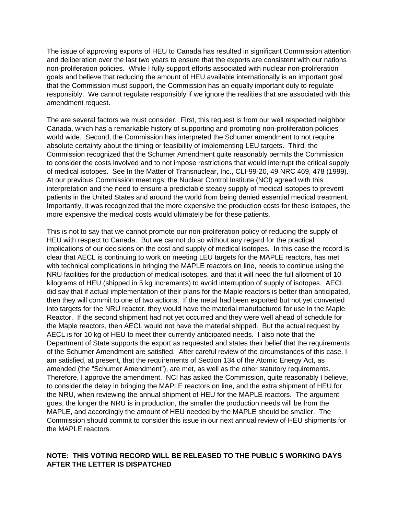The issue of approving exports of HEU to Canada has resulted in significant Commission attention and deliberation over the last two years to ensure that the exports are consistent with our nations non-proliferation policies. While I fully support efforts associated with nuclear non-proliferation goals and believe that reducing the amount of HEU available internationally is an important goal that the Commission must support, the Commission has an equally important duty to regulate responsibly. We cannot regulate responsibly if we ignore the realities that are associated with this amendment request.

The are several factors we must consider. First, this request is from our well respected neighbor Canada, which has a remarkable history of supporting and promoting non-proliferation policies world wide. Second, the Commission has interpreted the Schumer amendment to not require absolute certainty about the timing or feasibility of implementing LEU targets. Third, the Commission recognized that the Schumer Amendment quite reasonably permits the Commission to consider the costs involved and to not impose restrictions that would interrupt the critical supply of medical isotopes. See In the Matter of Transnuclear, Inc., CLI-99-20, 49 NRC 469, 478 (1999). At our previous Commission meetings, the Nuclear Control Institute (NCI) agreed with this interpretation and the need to ensure a predictable steady supply of medical isotopes to prevent patients in the United States and around the world from being denied essential medical treatment. Importantly, it was recognized that the more expensive the production costs for these isotopes, the more expensive the medical costs would ultimately be for these patients.

This is not to say that we cannot promote our non-proliferation policy of reducing the supply of HEU with respect to Canada. But we cannot do so without any regard for the practical implications of our decisions on the cost and supply of medical isotopes. In this case the record is clear that AECL is continuing to work on meeting LEU targets for the MAPLE reactors, has met with technical complications in bringing the MAPLE reactors on line, needs to continue using the NRU facilities for the production of medical isotopes, and that it will need the full allotment of 10 kilograms of HEU (shipped in 5 kg increments) to avoid interruption of supply of isotopes. AECL did say that if actual implementation of their plans for the Maple reactors is better than anticipated, then they will commit to one of two actions. If the metal had been exported but not yet converted into targets for the NRU reactor, they would have the material manufactured for use in the Maple Reactor. If the second shipment had not yet occurred and they were well ahead of schedule for the Maple reactors, then AECL would not have the material shipped. But the actual request by AECL is for 10 kg of HEU to meet their currently anticipated needs. I also note that the Department of State supports the export as requested and states their belief that the requirements of the Schumer Amendment are satisfied. After careful review of the circumstances of this case, I am satisfied, at present, that the requirements of Section 134 of the Atomic Energy Act, as amended (the "Schumer Amendment"), are met, as well as the other statutory requirements. Therefore, I approve the amendment. NCI has asked the Commission, quite reasonably I believe, to consider the delay in bringing the MAPLE reactors on line, and the extra shipment of HEU for the NRU, when reviewing the annual shipment of HEU for the MAPLE reactors. The argument goes, the longer the NRU is in production, the smaller the production needs will be from the MAPLE, and accordingly the amount of HEU needed by the MAPLE should be smaller. The Commission should commit to consider this issue in our next annual review of HEU shipments for the MAPLE reactors.